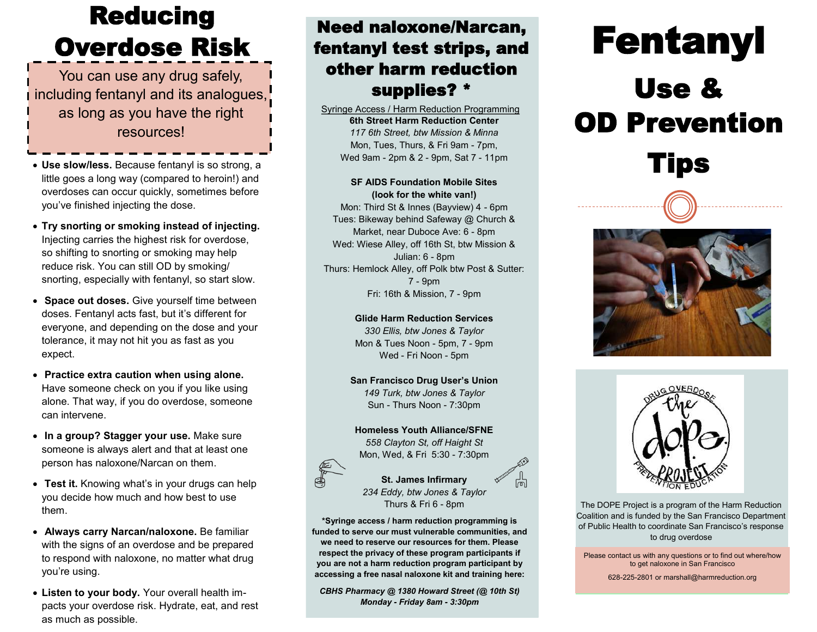# Reducing Overdose Risk

You can use any drug safely, including fentanyl and its analogues, as long as you have the right resources!

- **Use slow/less.** Because fentanyl is so strong, a little goes a long way (compared to heroin!) and overdoses can occur quickly, sometimes before you've finished injecting the dose.
- **Try snorting or smoking instead of injecting.**  Injecting carries the highest risk for overdose, so shifting to snorting or smoking may help reduce risk. You can still OD by smoking/ snorting, especially with fentanyl, so start slow.
- **Space out doses.** Give yourself time between doses. Fentanyl acts fast, but it's different for everyone, and depending on the dose and your tolerance, it may not hit you as fast as you expect.
- **Practice extra caution when using alone.**  Have someone check on you if you like using alone. That way, if you do overdose, someone can intervene.
- **In a group? Stagger your use.** Make sure someone is always alert and that at least one person has naloxone/Narcan on them.
- **Test it.** Knowing what's in your drugs can help you decide how much and how best to use them.
- **Always carry Narcan/naloxone.** Be familiar with the signs of an overdose and be prepared to respond with naloxone, no matter what drug you're using.
- **Listen to your body.** Your overall health impacts your overdose risk. Hydrate, eat, and rest as much as possible.

### Need naloxone/Narcan, fentanyl test strips, and other harm reduction supplies? \*

**6th Street Harm Reduction Center** *117 6th Street, btw Mission & Minna* Mon, Tues, Thurs, & Fri 9am - 7pm, Wed 9am - 2pm & 2 - 9pm, Sat 7 - 11pm Syringe Access / Harm Reduction Programming

#### **SF AIDS Foundation Mobile Sites (look for the white van!)**

Mon: Third St & Innes (Bayview) 4 - 6pm Tues: Bikeway behind Safeway @ Church & Market, near Duboce Ave: 6 - 8pm Wed: Wiese Alley, off 16th St, btw Mission & Julian: 6 - 8pm Thurs: Hemlock Alley, off Polk btw Post & Sutter: 7 - 9pm Fri: 16th & Mission, 7 - 9pm

> **Glide Harm Reduction Services** *330 Ellis, btw Jones & Taylor* Mon & Tues Noon - 5pm, 7 - 9pm Wed - Fri Noon - 5pm

**San Francisco Drug User's Union** *149 Turk, btw Jones & Taylor* Sun - Thurs Noon - 7:30pm

**Homeless Youth Alliance/SFNE** *558 Clayton St, off Haight St* Mon, Wed, & Fri 5:30 - 7:30pm



#### **St. James Infirmary** *234 Eddy, btw Jones & Taylor* Thurs & Fri 6 - 8pm

**\*Syringe access / harm reduction programming is funded to serve our must vulnerable communities, and we need to reserve our resources for them. Please respect the privacy of these program participants if you are not a harm reduction program participant by accessing a free nasal naloxone kit and training here:**

*CBHS Pharmacy @ 1380 Howard Street (@ 10th St) Monday - Friday 8am - 3:30pm*

# Fentanyl Use & OD Prevention

# Tips





The DOPE Project is a program of the Harm Reduction Coalition and is funded by the San Francisco Department of Public Health to coordinate San Francisco's response to drug overdose

Please contact us with any questions or to find out where/how to get naloxone in San Francisco

628-225-2801 or marshall@harmreduction.org